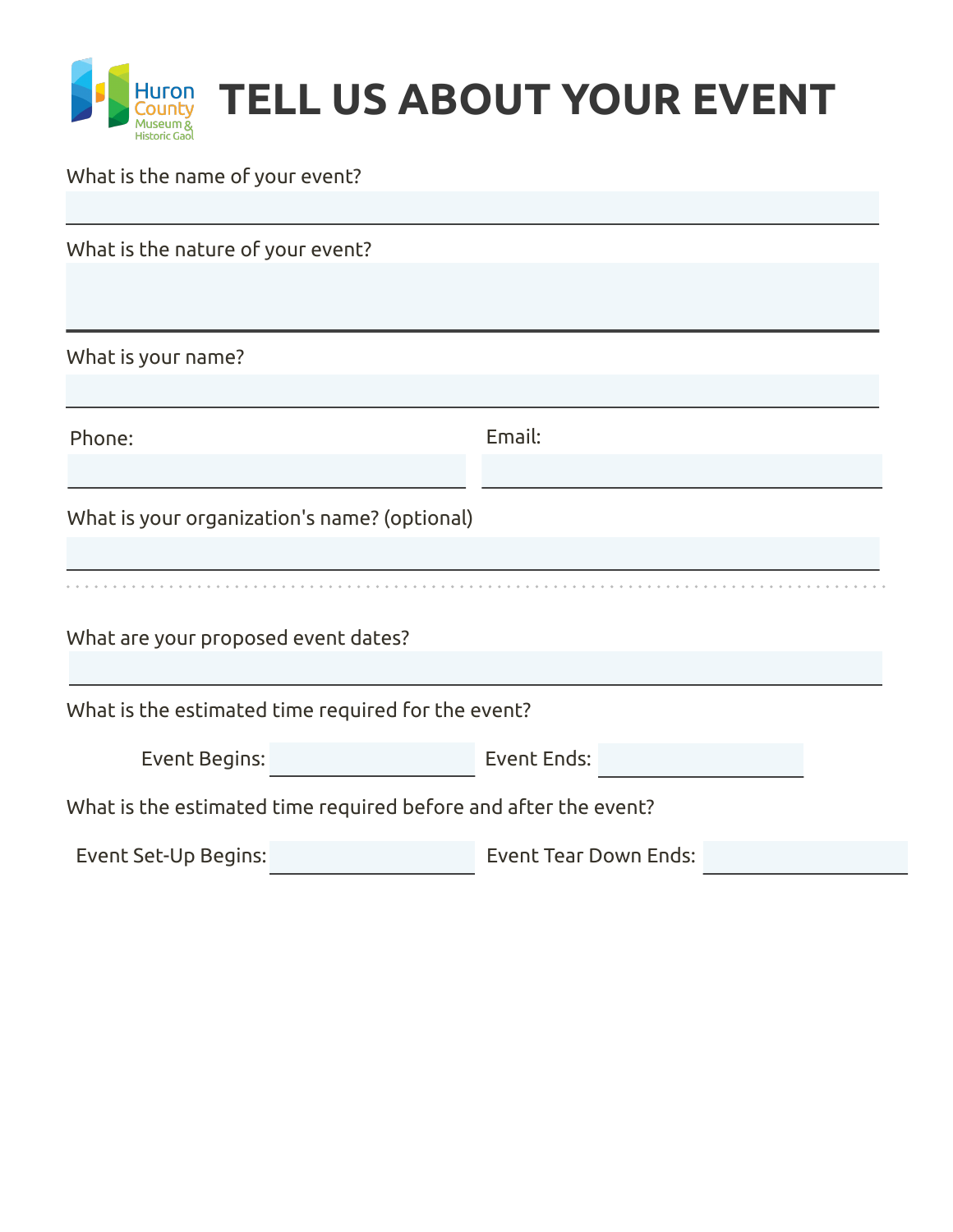

## What is the name of your event?

| What is the nature of your event?                               |                              |
|-----------------------------------------------------------------|------------------------------|
|                                                                 |                              |
| What is your name?                                              |                              |
| Phone:                                                          | Email:                       |
|                                                                 |                              |
| What is your organization's name? (optional)                    |                              |
|                                                                 |                              |
| What are your proposed event dates?                             |                              |
| What is the estimated time required for the event?              |                              |
| Event Begins:                                                   | Event Ends:                  |
| What is the estimated time required before and after the event? |                              |
| Event Set-Up Begins:                                            | <b>Event Tear Down Ends:</b> |